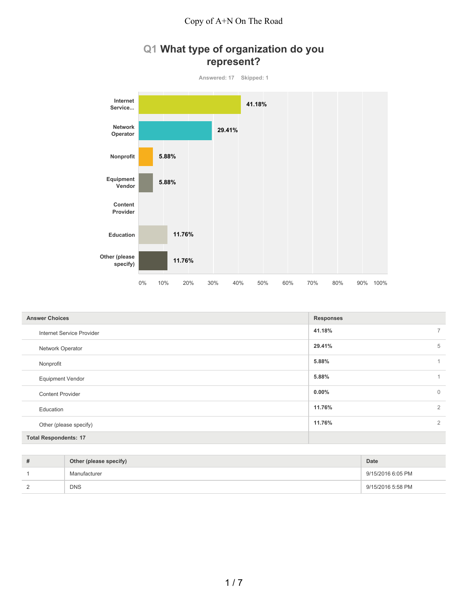## **Q1 What type of organization do you represent?**



| <b>Answer Choices</b>        | <b>Responses</b> |              |
|------------------------------|------------------|--------------|
| Internet Service Provider    | 41.18%           | 7            |
| Network Operator             | 29.41%           | 5            |
| Nonprofit                    | 5.88%            |              |
| <b>Equipment Vendor</b>      | 5.88%            |              |
| <b>Content Provider</b>      | $0.00\%$         | $\mathbf{0}$ |
| Education                    | 11.76%           | 2            |
| Other (please specify)       | 11.76%           | 2            |
| <b>Total Respondents: 17</b> |                  |              |

| $\overline{u}$ | Other (please specify) | Date              |
|----------------|------------------------|-------------------|
|                | Manufacturer           | 9/15/2016 6:05 PM |
|                | <b>DNS</b>             | 9/15/2016 5:58 PM |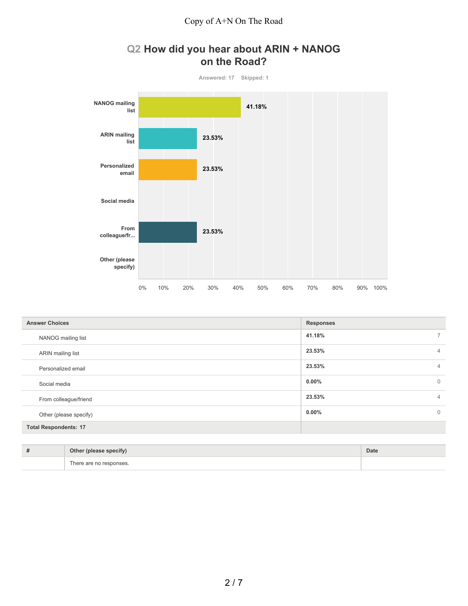## **Q2 How did you hear about ARIN + NANOG on the Road?**



| <b>Answer Choices</b>        | <b>Responses</b> |                |
|------------------------------|------------------|----------------|
| NANOG mailing list           | 41.18%           | $7^{\circ}$    |
| ARIN mailing list            | 23.53%           | $\overline{4}$ |
| Personalized email           | 23.53%           | $\overline{4}$ |
| Social media                 | $0.00\%$         | $\overline{0}$ |
| From colleague/friend        | 23.53%           | $\overline{4}$ |
| Other (please specify)       | $0.00\%$         | $\overline{0}$ |
| <b>Total Respondents: 17</b> |                  |                |

| $\overline{\phantom{a}}$<br>Other<br>r (please<br>specify)<br>$\cdot$ | Date |
|-----------------------------------------------------------------------|------|
| are no responses.<br>i he                                             |      |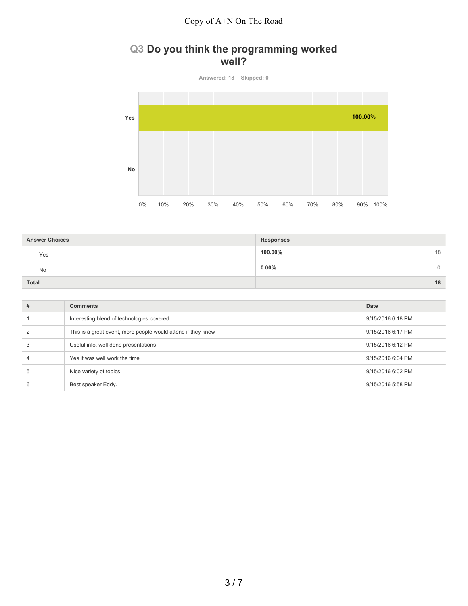### **Q3 Do you think the programming worked well?**

**Answered: 18 Skipped: 0 Yes No** 0% 10% 20% 30% 40% 50% 60% 70% 80% 90% 100% **100.00%**

| <b>Answer Choices</b> | <b>Responses</b> |
|-----------------------|------------------|
| Yes                   | 100.00%<br>18    |
| <b>No</b>             | $0.00\%$<br>0    |
| <b>Total</b>          | 18               |

| # | <b>Comments</b>                                              | Date              |
|---|--------------------------------------------------------------|-------------------|
|   | Interesting blend of technologies covered.                   | 9/15/2016 6:18 PM |
|   | This is a great event, more people would attend if they knew | 9/15/2016 6:17 PM |
|   | Useful info, well done presentations                         | 9/15/2016 6:12 PM |
|   | Yes it was well work the time                                | 9/15/2016 6:04 PM |
|   | Nice variety of topics                                       | 9/15/2016 6:02 PM |
| 6 | Best speaker Eddy.                                           | 9/15/2016 5:58 PM |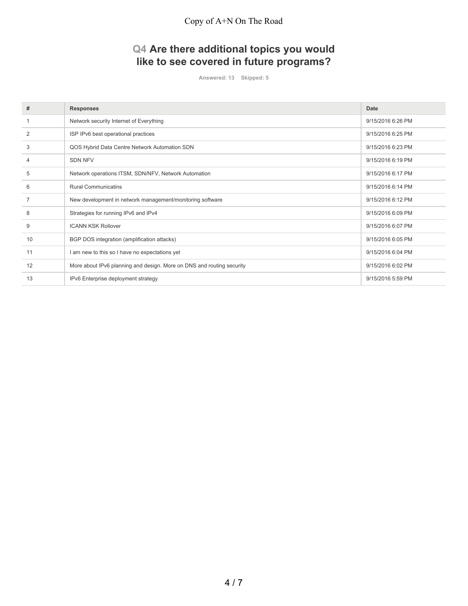# **Q4 Are there additional topics you would like to see covered in future programs?**

**Answered: 13 Skipped: 5**

| #  | <b>Responses</b>                                                      | Date              |
|----|-----------------------------------------------------------------------|-------------------|
|    | Network security Internet of Everything                               | 9/15/2016 6:26 PM |
| 2  | ISP IPv6 best operational practices                                   | 9/15/2016 6:25 PM |
| 3  | QOS Hybrid Data Centre Network Automation SDN                         | 9/15/2016 6:23 PM |
| 4  | <b>SDN NFV</b>                                                        | 9/15/2016 6:19 PM |
| 5  | Network operations ITSM, SDN/NFV, Network Automation                  | 9/15/2016 6:17 PM |
| 6  | <b>Rural Communicatins</b>                                            | 9/15/2016 6:14 PM |
|    | New development in network management/monitoring software             | 9/15/2016 6:12 PM |
| 8  | Strategies for running IPv6 and IPv4                                  | 9/15/2016 6:09 PM |
| 9  | <b>ICANN KSK Rollover</b>                                             | 9/15/2016 6:07 PM |
| 10 | BGP DOS integration (amplification attacks)                           | 9/15/2016 6:05 PM |
| 11 | am new to this so I have no expectations yet                          | 9/15/2016 6:04 PM |
| 12 | More about IPv6 planning and design. More on DNS and routing security | 9/15/2016 6:02 PM |
| 13 | IPv6 Enterprise deployment strategy                                   | 9/15/2016 5:59 PM |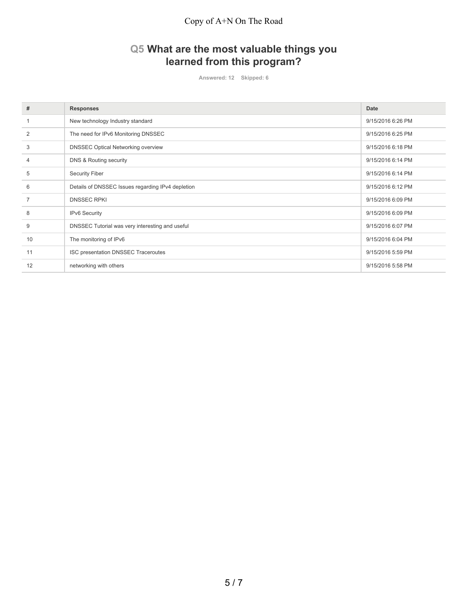# **Q5 What are the most valuable things you learned from this program?**

**Answered: 12 Skipped: 6**

| #              | <b>Responses</b>                                  | <b>Date</b>       |
|----------------|---------------------------------------------------|-------------------|
|                | New technology Industry standard                  | 9/15/2016 6:26 PM |
| $\overline{2}$ | The need for IPv6 Monitoring DNSSEC               | 9/15/2016 6:25 PM |
| 3              | <b>DNSSEC Optical Networking overview</b>         | 9/15/2016 6:18 PM |
| 4              | DNS & Routing security                            | 9/15/2016 6:14 PM |
| 5              | <b>Security Fiber</b>                             | 9/15/2016 6:14 PM |
| 6              | Details of DNSSEC Issues regarding IPv4 depletion | 9/15/2016 6:12 PM |
| 7              | <b>DNSSEC RPKI</b>                                | 9/15/2016 6:09 PM |
| 8              | IPv6 Security                                     | 9/15/2016 6:09 PM |
| 9              | DNSSEC Tutorial was very interesting and useful   | 9/15/2016 6:07 PM |
| 10             | The monitoring of IPv6                            | 9/15/2016 6:04 PM |
| 11             | ISC presentation DNSSEC Traceroutes               | 9/15/2016 5:59 PM |
| 12             | networking with others                            | 9/15/2016 5:58 PM |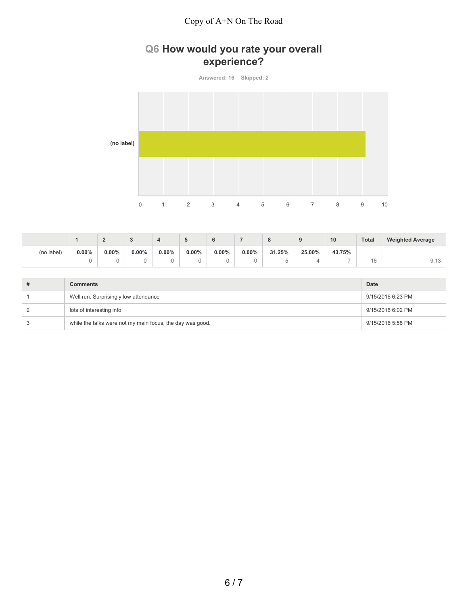## **Q6 How would you rate your overall experience?**

**Answered: 16 Skipped: 2 (no label)** 0 1 2 3 4 5 6 7 8 9 10

|            |          | -        |          |          |       |          |          | $\Omega$<br>$\circ$ |        | 10     | <b>Total</b> | <b>Weighted Average</b> |
|------------|----------|----------|----------|----------|-------|----------|----------|---------------------|--------|--------|--------------|-------------------------|
| (no label) | $0.00\%$ | $0.00\%$ | $0.00\%$ | $0.00\%$ | 0.00% | $0.00\%$ | $0.00\%$ | 31.25%              | 25.00% | 43.75% |              |                         |
|            |          |          |          |          |       | U        |          |                     | 4      |        | 16           | <u>J.IU</u>             |

| # | Comments                                                  | <b>Date</b>       |
|---|-----------------------------------------------------------|-------------------|
|   | Well run. Surprisingly low attendance                     | 9/15/2016 6:23 PM |
| 2 | lots of interesting info                                  | 9/15/2016 6:02 PM |
| 3 | while the talks were not my main focus, the day was good. | 9/15/2016 5:58 PM |